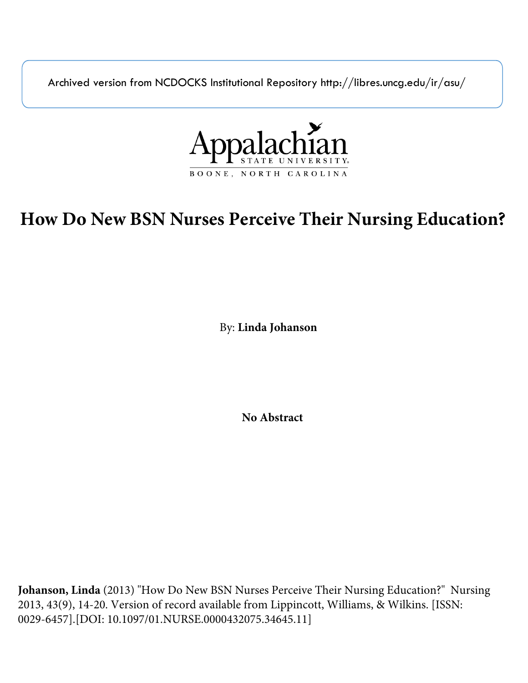Archived version from NCDOCKS Institutional Repository http://libres.uncg.edu/ir/asu/



# **How Do New BSN Nurses Perceive Their Nursing Education?**

By: **Linda Johanson**

**No Abstract**

**Johanson, Linda** (2013) "How Do New BSN Nurses Perceive Their Nursing Education?" Nursing 2013, 43(9), 14-20. Version of record available from Lippincott, Williams, & Wilkins. [ISSN: 0029-6457].[DOI: 10.1097/01.NURSE.0000432075.34645.11]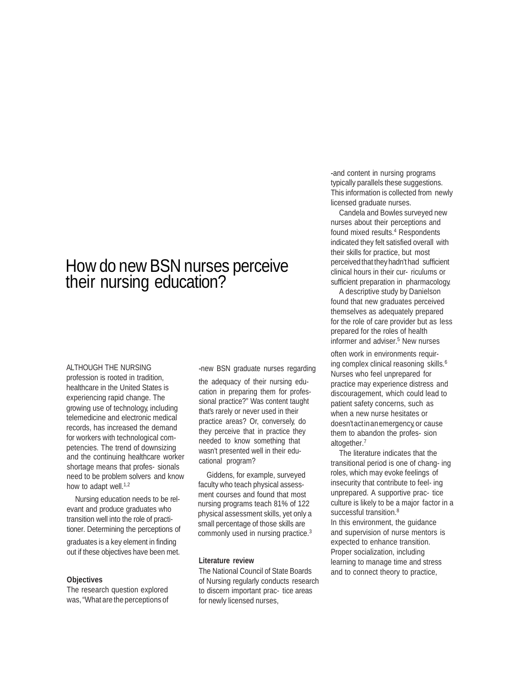## How do new BSN nurses perceive their nursing education?

#### ALTHOUGH THE NURSING

profession is rooted in tradition, healthcare in the United States is experiencing rapid change. The growing use of technology, including telemedicine and electronic medical records, has increased the demand for workers with technological competencies. The trend of downsizing and the continuing healthcare worker shortage means that profes- sionals need to be problem solvers and know how to adapt well.<sup>1,2</sup>

Nursing education needs to be relevant and produce graduates who transition well into the role of practitioner. Determining the perceptions of

graduates is a key element in finding out if these objectives have been met.

#### **Objectives**

The research question explored was,"What are the perceptions of -new BSN graduate nurses regarding

the adequacy of their nursing education in preparing them for professional practice?" Was content taught that's rarely or never used in their practice areas? Or, conversely, do they perceive that in practice they needed to know something that wasn't presented well in their educational program?

Giddens, for example, surveyed faculty who teach physical assessment courses and found that most nursing programs teach 81% of 122 physical assessment skills, yet only a small percentage of those skills are commonly used in nursing practice.<sup>3</sup>

#### **Literature review**

The National Council of State Boards of Nursing regularly conducts research to discern important prac- tice areas for newly licensed nurses,

-and content in nursing programs typically parallels these suggestions. This information is collected from newly licensed graduate nurses.

Candela and Bowles surveyed new nurses about their perceptions and found mixed results.<sup>4</sup> Respondents indicated they felt satisfied overall with their skills for practice, but most perceivedthat they hadn't had sufficient clinical hours in their cur- riculums or sufficient preparation in pharmacology.

A descriptive study by Danielson found that new graduates perceived themselves as adequately prepared for the role of care provider but as less prepared for the roles of health informer and adviser.<sup>5</sup> New nurses

often work in environments requiring complex clinical reasoning skills.<sup>6</sup> Nurses who feel unprepared for practice may experience distress and discouragement, which could lead to patient safety concerns, such as when a new nurse hesitates or doesn't actinanemergency, or cause them to abandon the profes- sion altogether.7

The literature indicates that the transitional period is one of chang- ing roles, which may evoke feelings of insecurity that contribute to feel- ing unprepared. A supportive prac- tice culture is likely to be a major factor in a successful transition.<sup>8</sup> In this environment, the guidance and supervision of nurse mentors is expected to enhance transition. Proper socialization, including learning to manage time and stress and to connect theory to practice,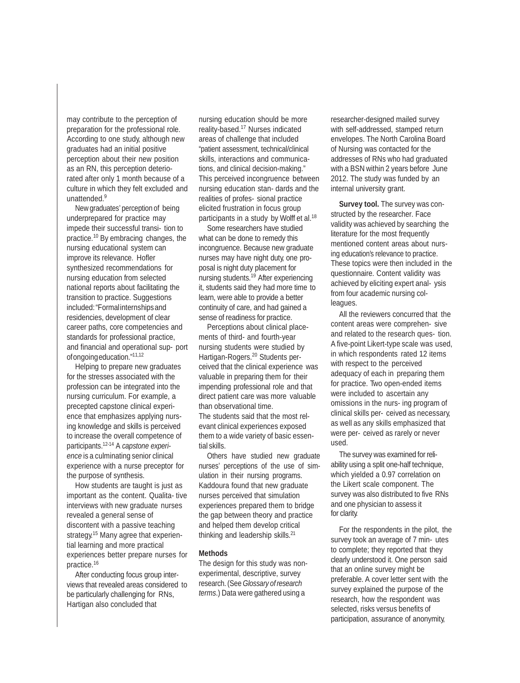may contribute to the perception of preparation for the professional role. According to one study, although new graduates had an initial positive perception about their new position as an RN, this perception deteriorated after only 1 month because of a culture in which they felt excluded and unattended.9

Newgraduates' perception of being underprepared for practice may impede their successful transi- tion to practice.10 By embracing changes, the nursing educational system can improve its relevance. Hofler synthesized recommendations for nursing education from selected national reports about facilitating the transition to practice. Suggestions included:"Formalinternshipsand residencies, development of clear career paths, core competencies and standards for professional practice, and financial and operational sup- port ofongoingeducation."11,12

Helping to prepare new graduates for the stresses associated with the profession can be integrated into the nursing curriculum. For example, a precepted capstone clinical experience that emphasizes applying nursing knowledge and skills is perceived to increase the overall competence of participants.12-14 A *capstone experience* is a culminating senior clinical experience with a nurse preceptor for the purpose of synthesis.

How students are taught is just as important as the content. Qualita- tive interviews with new graduate nurses revealed a general sense of discontent with a passive teaching strategy.15 Many agree that experiential learning and more practical experiences better prepare nurses for practice.<sup>16</sup>

After conducting focus group interviews that revealed areas considered to be particularly challenging for RNs, Hartigan also concluded that

nursing education should be more reality-based.17 Nurses indicated areas of challenge that included "patient assessment, technical/clinical skills, interactions and communications, and clinical decision-making." This perceived incongruence between nursing education stan- dards and the realities of profes- sional practice elicited frustration in focus group participants in a study by Wolff et al.<sup>18</sup>

Some researchers have studied what can be done to remedy this incongruence. Because new graduate nurses may have night duty, one proposal is night duty placement for nursing students.19 After experiencing it, students said they had more time to learn, were able to provide a better continuity of care, and had gained a sense of readiness for practice.

Perceptions about clinical placements of third- and fourth-year nursing students were studied by Hartigan-Rogers.20 Students perceived that the clinical experience was valuable in preparing them for their impending professional role and that direct patient care was more valuable than observational time. The students said that the most relevant clinical experiences exposed them to a wide variety of basic essential skills.

Others have studied new graduate nurses' perceptions of the use of simulation in their nursing programs. Kaddoura found that new graduate nurses perceived that simulation experiences prepared them to bridge the gap between theory and practice and helped them develop critical thinking and leadership skills.21

#### **Methods**

The design for this study was nonexperimental, descriptive, survey research. (See*Glossary ofresearch terms*.) Data were gathered using a

researcher-designed mailed survey with self-addressed, stamped return envelopes. The North Carolina Board of Nursing was contacted for the addresses of RNs who had graduated with a BSN within 2 years before June 2012. The study was funded by an internal university grant.

**Survey tool.** The survey was constructed by the researcher. Face validity was achieved by searching the literature for the most frequently mentioned content areas about nursing education's relevance to practice. These topics were then included in the questionnaire. Content validity was achieved by eliciting expert anal- ysis from four academic nursing colleagues.

All the reviewers concurred that the content areas were comprehen- sive and related to the research ques- tion. A five-point Likert-type scale was used, in which respondents rated 12 items with respect to the perceived adequacy of each in preparing them for practice. Two open-ended items were included to ascertain any omissions in the nurs- ing program of clinical skills per- ceived as necessary, as well as any skills emphasized that were per- ceived as rarely or never used.

The survey was examined for reliability using a split one-half technique, which yielded a 0.97 correlation on the Likert scale component. The survey was also distributed to five RNs and one physician to assess it for clarity.

For the respondents in the pilot, the survey took an average of 7 min- utes to complete; they reported that they clearly understood it. One person said that an online survey might be preferable. A cover letter sent with the survey explained the purpose of the research, how the respondent was selected, risks versus benefits of participation, assurance of anonymity,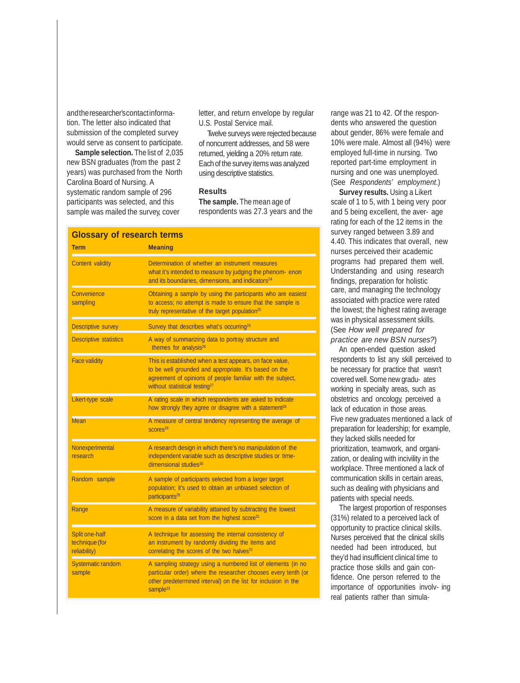andthe researcher's contactinformation. The letter also indicated that submission of the completed survey would serve as consent to participate.

**Sample selection.** The list of 2,035 new BSN graduates (from the past 2 years) was purchased from the North Carolina Board of Nursing. A systematic random sample of 296 participants was selected, and this sample was mailed the survey, cover

letter, and return envelope by regular U.S. Postal Service mail.

Twelve surveys were rejected because of noncurrent addresses, and 58 were returned, yielding a 20% return rate. Each of the survey itemswas analyzed using descriptive statistics.

#### **Results**

**The sample.** Themean age of respondents was 27.3 years and the

| <b>Glossary of research terms</b>                |                                                                                                                                                                                                                              |  |  |
|--------------------------------------------------|------------------------------------------------------------------------------------------------------------------------------------------------------------------------------------------------------------------------------|--|--|
| <b>Term</b>                                      | <b>Meaning</b>                                                                                                                                                                                                               |  |  |
| Content validity                                 | Determination of whether an instrument measures<br>what it's intended to measure by judging the phenom-enon<br>and its boundaries, dimensions, and indicators <sup>24</sup>                                                  |  |  |
| Convenience<br>sampling                          | Obtaining a sample by using the participants who are easiest<br>to access; no attempt is made to ensure that the sample is<br>truly representative of the target population <sup>25</sup>                                    |  |  |
| <b>Descriptive survey</b>                        | Survey that describes what's occurring <sup>25</sup>                                                                                                                                                                         |  |  |
| <b>Descriptive statistics</b>                    | A way of summarizing data to portray structure and<br>themes for analysis <sup>26</sup>                                                                                                                                      |  |  |
| <b>Face validity</b>                             | This is established when a test appears, on face value,<br>to be well grounded and appropriate. It's based on the<br>agreement of opinions of people familiar with the subject,<br>without statistical testing <sup>27</sup> |  |  |
| Likert-type scale                                | A rating scale in which respondents are asked to indicate<br>how strongly they agree or disagree with a statement <sup>28</sup>                                                                                              |  |  |
| <b>Mean</b>                                      | A measure of central tendency representing the average of<br>SCOres <sup>29</sup>                                                                                                                                            |  |  |
| Nonexperimental<br>research                      | A research design in which there's no manipulation of the<br>independent variable such as descriptive studies or time-<br>dimensional studies <sup>30</sup>                                                                  |  |  |
| Random sample                                    | A sample of participants selected from a larger target<br>population; it's used to obtain an unbiased selection of<br>participants <sup>25</sup>                                                                             |  |  |
| Range                                            | A measure of variability attained by subtracting the lowest<br>score in a data set from the highest score <sup>31</sup>                                                                                                      |  |  |
| Split one-half<br>technique (for<br>reliability) | A technique for assessing the internal consistency of<br>an instrument by randomly dividing the items and<br>correlating the scores of the two halves <sup>32</sup>                                                          |  |  |
| <b>Systematic random</b><br>sample               | A sampling strategy using a numbered list of elements (in no<br>particular order) where the researcher chooses every tenth (or<br>other predetermined interval) on the list for inclusion in the<br>sample <sup>33</sup>     |  |  |

range was 21 to 42. Of the respondents who answered the question about gender, 86% were female and 10% were male. Almost all (94%) were employed full-time in nursing. Two reported part-time employment in nursing and one was unemployed. (See *Respondents' employment*.)

**Survey results.** Using a Likert scale of 1 to 5, with 1 being very poor and 5 being excellent, the aver- age rating for each of the 12 items in the survey ranged between 3.89 and 4.40. This indicates that overall, new nurses perceived their academic programs had prepared them well. Understanding and using research findings, preparation for holistic care, and managing the technology associated with practice were rated the lowest; the highest rating average was in physical assessment skills. (See *How well prepared for practice are new BSN nurses?*)

An open-ended question asked respondents to list any skill perceived to be necessary for practice that wasn't coveredwell. Some new gradu- ates working in specialty areas, such as obstetrics and oncology, perceived a lack of education in those areas. Five new graduates mentioned a lack of preparation for leadership; for example, they lacked skills needed for prioritization, teamwork, and organization, or dealing with incivility in the workplace. Three mentioned a lack of communication skills in certain areas, such as dealing with physicians and patients with special needs.

The largest proportion of responses (31%) related to a perceived lack of opportunity to practice clinical skills. Nurses perceived that the clinical skills needed had been introduced, but they'd had insufficient clinical time to practice those skills and gain confidence. One person referred to the importance of opportunities involv- ing real patients rather than simula-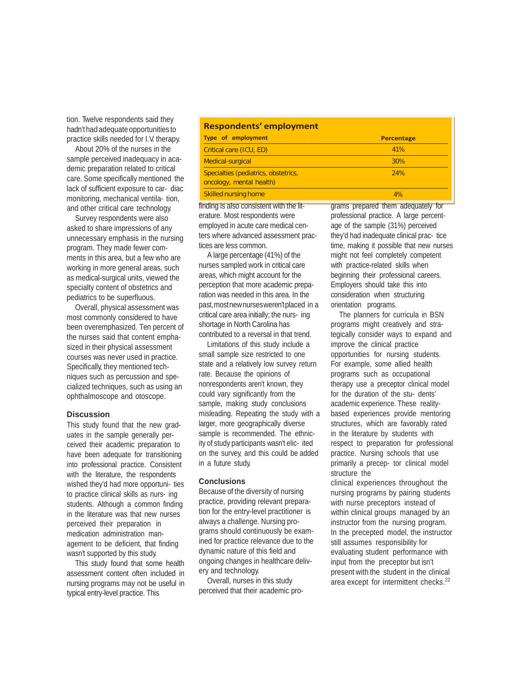tion. Twelve respondents said they hadn't had adequate opportunities to practice skills needed for I.V. therapy.

About 20% of the nurses in the sample perceived inadequacy in academic preparation related to critical care. Some specifically mentioned the lack of sufficient exposure to car- diac monitoring, mechanical ventila- tion, and other critical care technology.

Survey respondents were also asked to share impressions of any unnecessary emphasis in the nursing program. They made fewer comments in this area, but a few who are working in more general areas, such as medical-surgical units, viewed the specialty content of obstetrics and pediatrics to be superfluous.

Overall, physical assessment was most commonly considered to have been overemphasized. Ten percent of the nurses said that content emphasized in their physical assessment courses was never used in practice. Specifically, they mentioned techniques such as percussion and specialized techniques, such as using an ophthalmoscope and otoscope.

#### **Discussion**

This study found that the new graduates in the sample generally perceived their academic preparation to have been adequate for transitioning into professional practice. Consistent with the literature, the respondents wished they'd had more opportuni- ties to practice clinical skills as nurs- ing students. Although a common finding in the literature was that new nurses perceived their preparation in medication administration management to be deficient, that finding wasn't supported by this study.

This study found that some health assessment content often included in nursing programs may not be useful in typical entry-level practice. This

### **Respondents' employment**

| <b>Type of employment</b>                                        | <b>Percentage</b> |
|------------------------------------------------------------------|-------------------|
| Critical care (ICU, ED)                                          | 41%               |
| <b>Medical-surgical</b>                                          | 30%               |
| Specialties (pediatrics, obstetrics,<br>oncology, mental health) | 24%               |
| <b>Skilled nursing home</b>                                      | 4%                |
|                                                                  | _____             |

finding is also consistent with the literature. Most respondents were employed in acute care medical centers where advanced assessment practices are less common.

A large percentage (41%) of the nurses sampled work in critical care areas, which might account for the perception that more academic preparation was needed in this area. In the past,mostnewnursesweren't placed in a critical care area initially; the nurs- ing shortage in North Carolina has contributed to a reversal in that trend.

Limitations of this study include a small sample size restricted to one state and a relatively low survey return rate. Because the opinions of nonrespondents aren't known, they could vary significantly from the sample, making study conclusions misleading. Repeating the study with a larger, more geographically diverse sample is recommended. The ethnicity of study participants wasn't elic- ited on the survey, and this could be added in a future study.

#### **Conclusions**

Because of the diversity of nursing practice, providing relevant preparation for the entry-level practitioner is always a challenge. Nursing programs should continuously be examined for practice relevance due to the dynamic nature of this field and ongoing changes in healthcare delivery and technology.

Overall, nurses in this study perceived that their academic programs prepared them adequately for professional practice. A large percentage of the sample (31%) perceived they'd had inadequate clinical prac- tice time, making it possible that new nurses might not feel completely competent with practice-related skills when beginning their professional careers. Employers should take this into consideration when structuring orientation programs.

The planners for curricula in BSN programs might creatively and strategically consider ways to expand and improve the clinical practice opportunities for nursing students. For example, some allied health programs such as occupational therapy use a preceptor clinical model for the duration of the stu- dents' academic experience. These realitybased experiences provide mentoring structures, which are favorably rated in the literature by students with respect to preparation for professional practice. Nursing schools that use primarily a precep- tor clinical model structure the

clinical experiences throughout the nursing programs by pairing students with nurse preceptors instead of within clinical groups managed by an instructor from the nursing program. In the precepted model, the instructor still assumes responsibility for evaluating student performance with input from the preceptor but isn't present with the student in the clinical area except for intermittent checks.22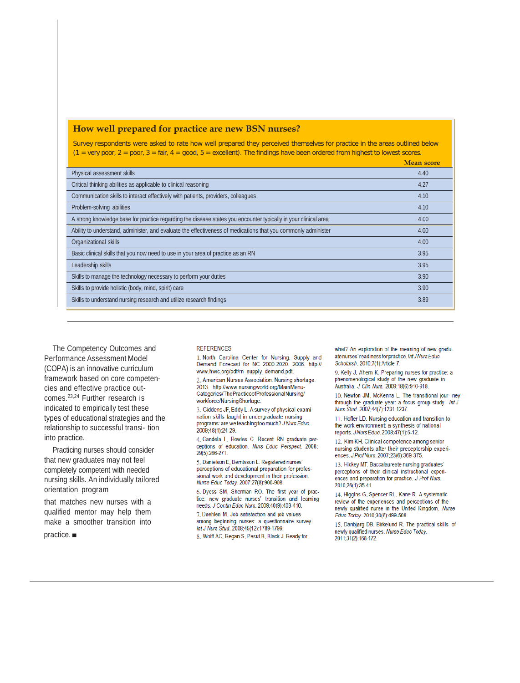| (i.e. very pour, z = pour, $3 = \tan$ , 4 = qood, $3 = \tan$ enterity. The midiritys have been ordered from mighest to lowest scores. | <b>Mean score</b> |
|---------------------------------------------------------------------------------------------------------------------------------------|-------------------|
| Physical assessment skills                                                                                                            | 4.40              |
| Critical thinking abilities as applicable to clinical reasoning                                                                       | 4.27              |
| Communication skills to interact effectively with patients, providers, colleagues                                                     | 4.10              |
| Problem-solving abilities                                                                                                             |                   |
| A strong knowledge base for practice regarding the disease states you encounter typically in your clinical area                       |                   |
| Ability to understand, administer, and evaluate the effectiveness of medications that you commonly administer                         | 4.00              |
| Organizational skills                                                                                                                 | 4.00              |
| Basic clinical skills that you now need to use in your area of practice as an RN                                                      | 3.95              |
| Leadership skills                                                                                                                     |                   |
| Skills to manage the technology necessary to perform your duties                                                                      | 3.90              |
| Skills to provide holistic (body, mind, spirit) care                                                                                  |                   |
| Skills to understand nursing research and utilize research findings                                                                   |                   |

Survey respondents were asked to rate how well prepared they perceived themselves for practice in the areas outlined below

The Competency Outcomes and Performance Assessment Model (COPA) is an innovative curriculum framework based on core competencies and effective practice outcomes.<sup>23,24</sup> Further research is indicated to empirically test these types of educational strategies and the relationship to successful transi-tion into practice.

Practicing nurses should consider that new graduates may not feel completely competent with needed nursing skills. An individually tailored orientation program

that matches new nurses with a qualified mentor may help them make a smoother transition into

 $practive.\blacksquare$ 

#### **REFERENCES**

How well prepared for practice are new BSN nurses?

1. North Carolina Center for Nursing. Supply and<br>Demand Forecast for NC 2000-2020. 2006. http:// www.hwic.org/pdf/rn\_supply\_demand.pdf.

2. American Nurses Association. Nursing shortage. 2013. http://www.nursingworld.org/MainMenu-Categories/ThePracticeofProfessionalNursing/ workforce/NursingShortage.

3. Giddens JF, Eddy L. A survey of physical examination skills taught in undergraduate nursing programs: are we teaching too much? J Nurs Educ. 2009;48(1):24-29.

4. Candela L, Bowles C. Recent RN graduate perceptions of education. Nurs Educ Perspect. 2008; 29(5):266-271.

5. Danielson E, Berntsson L. Registered nurses' perceptions of educational preparation for professional work and development in their profession. Nurse Educ Today. 2007;27(8):900-908.

6. Dyess SM, Sherman RO. The first year of practice: new graduate nurses' transition and learning needs. J Contin Educ Nurs. 2009;40(9):403-410.

7. Daehlen M. Job satisfaction and job values among beginning nurses: a questionnaire survey Int J Nurs Stud. 2008;45(12):1789-1799.

8. Wolff AC, Regan S, Pesut B, Black J. Ready for

what? An exploration of the meaning of new graduate nurses' readiness for practice. Int J Nurs Educ Scholarsh. 2010;7(1):Article 7.

9. Kelly J. Ahern K. Preparing nurses for practice: a phenomenological study of the new graduate in Australia. J Clin Nurs. 2009;18(6):910-918.

10. Newton JM, McKenna L. The transitional jour- ney through the graduate year: a focus group study. Int J Nurs Stud. 2007;44(7):1231-1237.

11. Hofler LD. Nursing education and transition to the work environment: a synthesis of national reports. J Nurs Educ. 2008;47(1):5-12.

12. Kim KH. Clinical competence among senior nursing students after their preceptorship experiences. J Prof Nurs. 2007;23(6):369-375.

13. Hickey MT. Baccalaureate nursing graduates' perceptions of their clinical instructional experiences and preparation for practice. J Prof Nurs. 2010;26(1):35-41.

14. Higgins G, Spencer RL, Kane R. A systematic review of the experiences and perceptions of the newly qualified nurse in the United Kingdom. Nurse Educ Today. 2010;30(6):499-508.

15. Danbjørg DB, Birkelund R. The practical skills of newly qualified nurses. Nurse Educ Today. 2011;31(2):168-172.